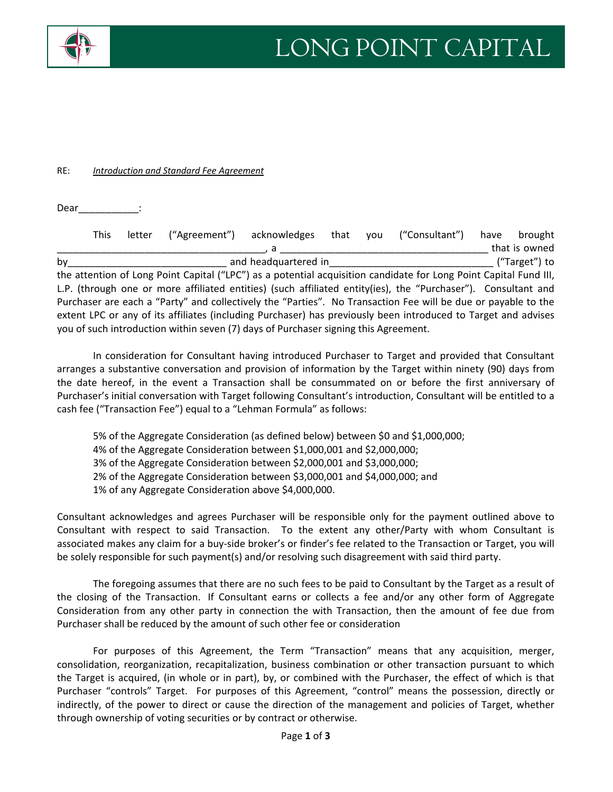

## RE: *Introduction and Standard Fee Agreement*

Dear\_\_\_\_\_\_\_\_\_\_\_\_\_:

|                                                                                                                   | <b>This</b>                           | letter | ("Agreement") acknowledges |  | that | vou | ("Consultant") | have | brought       |
|-------------------------------------------------------------------------------------------------------------------|---------------------------------------|--------|----------------------------|--|------|-----|----------------|------|---------------|
|                                                                                                                   |                                       |        |                            |  |      |     |                |      | that is owned |
| by                                                                                                                | and headquartered in<br>("Target") to |        |                            |  |      |     |                |      |               |
| the attention of Long Point Capital ("LPC") as a potential acquisition candidate for Long Point Capital Fund III, |                                       |        |                            |  |      |     |                |      |               |
| L.P. (through one or more affiliated entities) (such affiliated entity(ies), the "Purchaser"). Consultant and     |                                       |        |                            |  |      |     |                |      |               |
| Purchaser are each a "Party" and collectively the "Parties". No Transaction Fee will be due or payable to the     |                                       |        |                            |  |      |     |                |      |               |
| extent LPC or any of its affiliates (including Purchaser) has previously been introduced to Target and advises    |                                       |        |                            |  |      |     |                |      |               |
| you of such introduction within seven (7) days of Purchaser signing this Agreement.                               |                                       |        |                            |  |      |     |                |      |               |

In consideration for Consultant having introduced Purchaser to Target and provided that Consultant arranges a substantive conversation and provision of information by the Target within ninety (90) days from the date hereof, in the event a Transaction shall be consummated on or before the first anniversary of Purchaser's initial conversation with Target following Consultant's introduction, Consultant will be entitled to a cash fee ("Transaction Fee") equal to a "Lehman Formula" as follows:

5% of the Aggregate Consideration (as defined below) between \$0 and \$1,000,000; 4% of the Aggregate Consideration between \$1,000,001 and \$2,000,000; 3% of the Aggregate Consideration between \$2,000,001 and \$3,000,000; 2% of the Aggregate Consideration between \$3,000,001 and \$4,000,000; and 1% of any Aggregate Consideration above \$4,000,000.

Consultant acknowledges and agrees Purchaser will be responsible only for the payment outlined above to Consultant with respect to said Transaction. To the extent any other/Party with whom Consultant is associated makes any claim for a buy‐side broker's or finder's fee related to the Transaction or Target, you will be solely responsible for such payment(s) and/or resolving such disagreement with said third party.

The foregoing assumes that there are no such fees to be paid to Consultant by the Target as a result of the closing of the Transaction. If Consultant earns or collects a fee and/or any other form of Aggregate Consideration from any other party in connection the with Transaction, then the amount of fee due from Purchaser shall be reduced by the amount of such other fee or consideration

For purposes of this Agreement, the Term "Transaction" means that any acquisition, merger, consolidation, reorganization, recapitalization, business combination or other transaction pursuant to which the Target is acquired, (in whole or in part), by, or combined with the Purchaser, the effect of which is that Purchaser "controls" Target. For purposes of this Agreement, "control" means the possession, directly or indirectly, of the power to direct or cause the direction of the management and policies of Target, whether through ownership of voting securities or by contract or otherwise.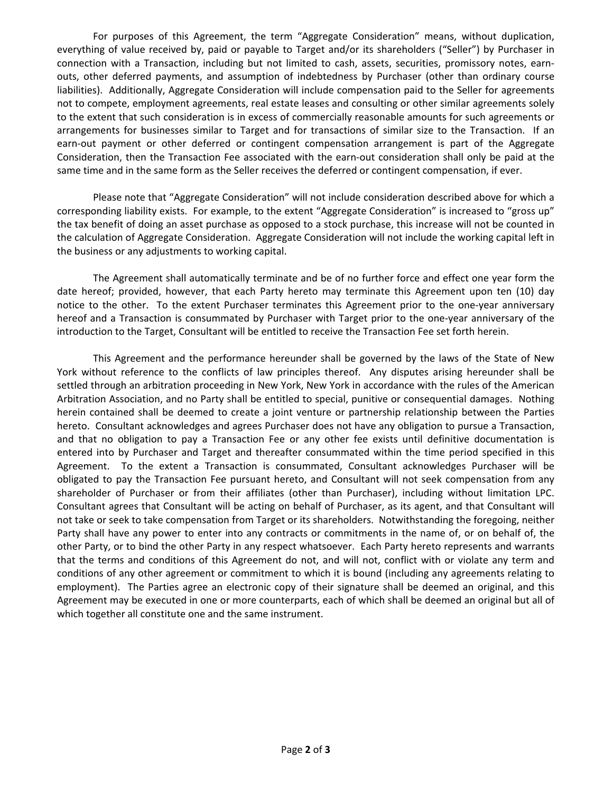For purposes of this Agreement, the term "Aggregate Consideration" means, without duplication, everything of value received by, paid or payable to Target and/or its shareholders ("Seller") by Purchaser in connection with a Transaction, including but not limited to cash, assets, securities, promissory notes, earn‐ outs, other deferred payments, and assumption of indebtedness by Purchaser (other than ordinary course liabilities). Additionally, Aggregate Consideration will include compensation paid to the Seller for agreements not to compete, employment agreements, real estate leases and consulting or other similar agreements solely to the extent that such consideration is in excess of commercially reasonable amounts for such agreements or arrangements for businesses similar to Target and for transactions of similar size to the Transaction. If an earn-out payment or other deferred or contingent compensation arrangement is part of the Aggregate Consideration, then the Transaction Fee associated with the earn‐out consideration shall only be paid at the same time and in the same form as the Seller receives the deferred or contingent compensation, if ever.

Please note that "Aggregate Consideration" will not include consideration described above for which a corresponding liability exists. For example, to the extent "Aggregate Consideration" is increased to "gross up" the tax benefit of doing an asset purchase as opposed to a stock purchase, this increase will not be counted in the calculation of Aggregate Consideration. Aggregate Consideration will not include the working capital left in the business or any adjustments to working capital.

The Agreement shall automatically terminate and be of no further force and effect one year form the date hereof; provided, however, that each Party hereto may terminate this Agreement upon ten (10) day notice to the other. To the extent Purchaser terminates this Agreement prior to the one-year anniversary hereof and a Transaction is consummated by Purchaser with Target prior to the one-year anniversary of the introduction to the Target, Consultant will be entitled to receive the Transaction Fee set forth herein.

This Agreement and the performance hereunder shall be governed by the laws of the State of New York without reference to the conflicts of law principles thereof. Any disputes arising hereunder shall be settled through an arbitration proceeding in New York, New York in accordance with the rules of the American Arbitration Association, and no Party shall be entitled to special, punitive or consequential damages. Nothing herein contained shall be deemed to create a joint venture or partnership relationship between the Parties hereto. Consultant acknowledges and agrees Purchaser does not have any obligation to pursue a Transaction, and that no obligation to pay a Transaction Fee or any other fee exists until definitive documentation is entered into by Purchaser and Target and thereafter consummated within the time period specified in this Agreement. To the extent a Transaction is consummated, Consultant acknowledges Purchaser will be obligated to pay the Transaction Fee pursuant hereto, and Consultant will not seek compensation from any shareholder of Purchaser or from their affiliates (other than Purchaser), including without limitation LPC. Consultant agrees that Consultant will be acting on behalf of Purchaser, as its agent, and that Consultant will not take or seek to take compensation from Target or its shareholders. Notwithstanding the foregoing, neither Party shall have any power to enter into any contracts or commitments in the name of, or on behalf of, the other Party, or to bind the other Party in any respect whatsoever. Each Party hereto represents and warrants that the terms and conditions of this Agreement do not, and will not, conflict with or violate any term and conditions of any other agreement or commitment to which it is bound (including any agreements relating to employment). The Parties agree an electronic copy of their signature shall be deemed an original, and this Agreement may be executed in one or more counterparts, each of which shall be deemed an original but all of which together all constitute one and the same instrument.